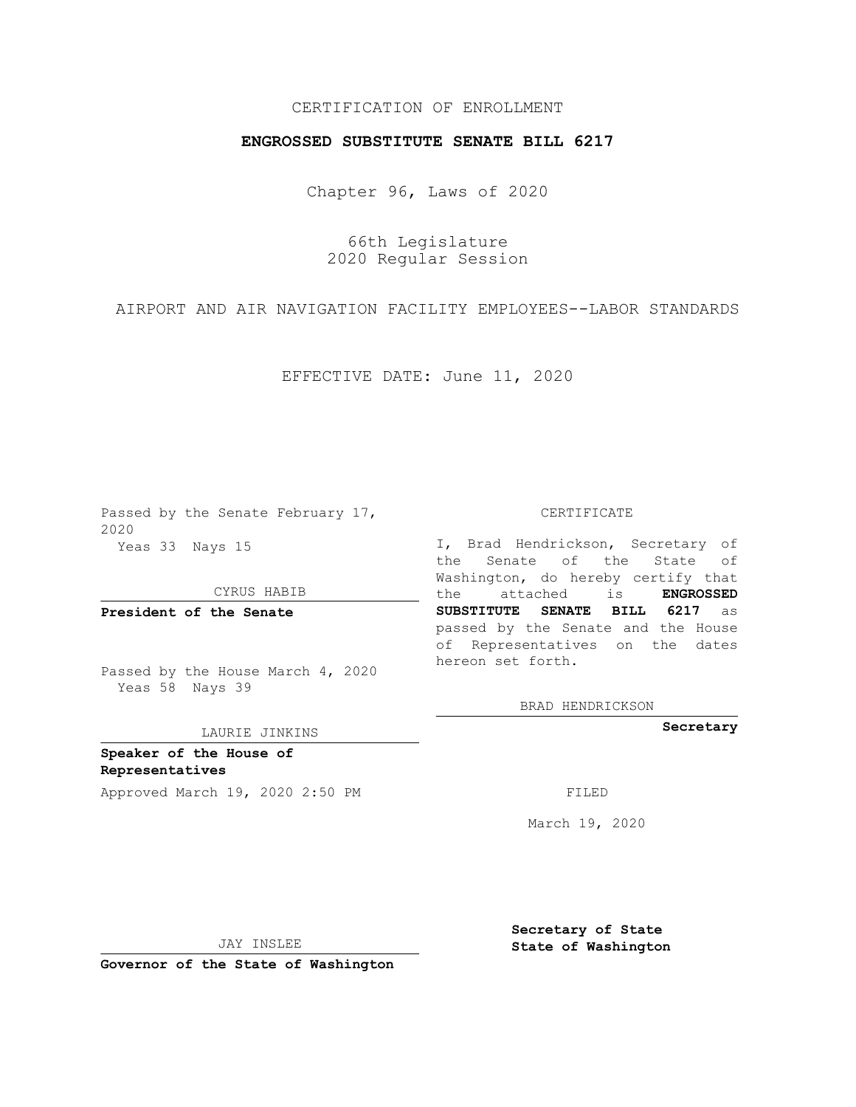# CERTIFICATION OF ENROLLMENT

## **ENGROSSED SUBSTITUTE SENATE BILL 6217**

Chapter 96, Laws of 2020

66th Legislature 2020 Regular Session

AIRPORT AND AIR NAVIGATION FACILITY EMPLOYEES--LABOR STANDARDS

EFFECTIVE DATE: June 11, 2020

Passed by the Senate February 17, 2020 Yeas 33 Nays 15

### CYRUS HABIB

**President of the Senate**

Passed by the House March 4, 2020 Yeas 58 Nays 39

#### LAURIE JINKINS

**Speaker of the House of Representatives**

Approved March 19, 2020 2:50 PM

CERTIFICATE

I, Brad Hendrickson, Secretary of the Senate of the State of Washington, do hereby certify that the attached is **ENGROSSED SUBSTITUTE SENATE BILL 6217** as passed by the Senate and the House of Representatives on the dates hereon set forth.

BRAD HENDRICKSON

**Secretary**

March 19, 2020

JAY INSLEE

**Governor of the State of Washington**

**Secretary of State State of Washington**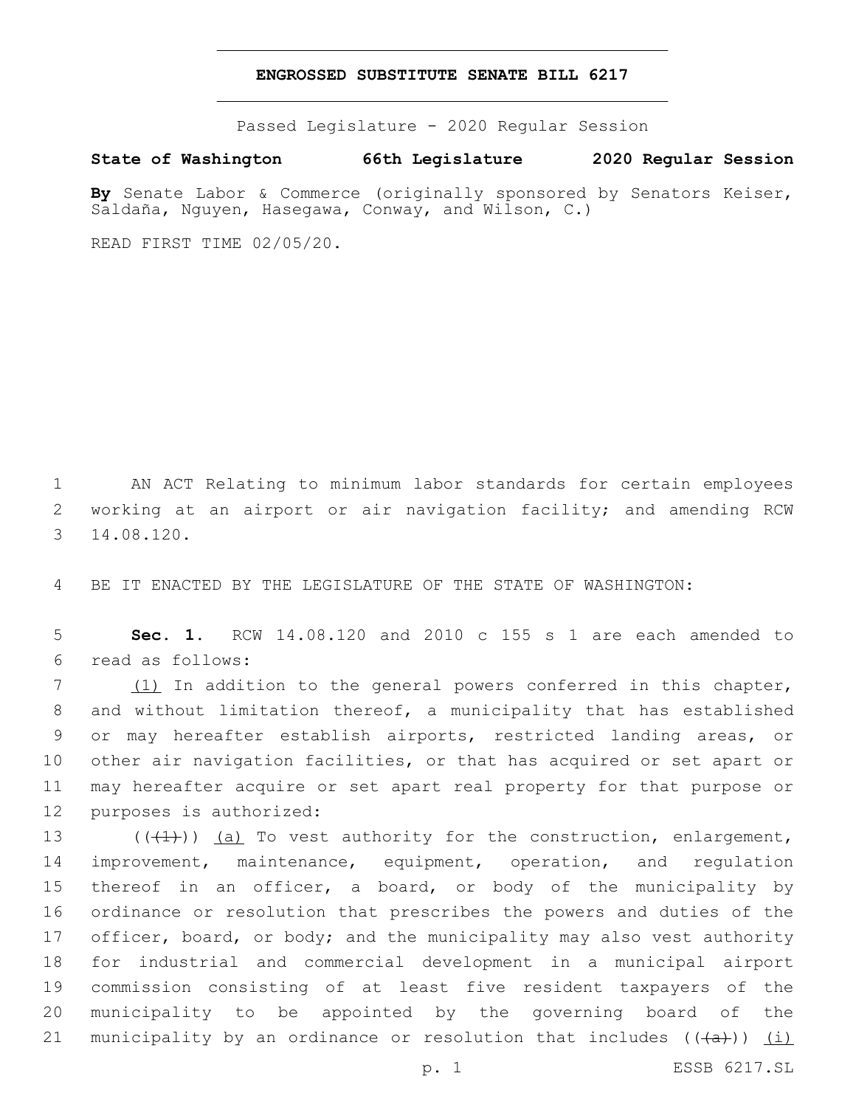### **ENGROSSED SUBSTITUTE SENATE BILL 6217**

Passed Legislature - 2020 Regular Session

**State of Washington 66th Legislature 2020 Regular Session**

**By** Senate Labor & Commerce (originally sponsored by Senators Keiser, Saldaña, Nguyen, Hasegawa, Conway, and Wilson, C.)

READ FIRST TIME 02/05/20.

1 AN ACT Relating to minimum labor standards for certain employees 2 working at an airport or air navigation facility; and amending RCW 14.08.120.3

4 BE IT ENACTED BY THE LEGISLATURE OF THE STATE OF WASHINGTON:

5 **Sec. 1.** RCW 14.08.120 and 2010 c 155 s 1 are each amended to read as follows:6

7 (1) In addition to the general powers conferred in this chapter, and without limitation thereof, a municipality that has established or may hereafter establish airports, restricted landing areas, or other air navigation facilities, or that has acquired or set apart or may hereafter acquire or set apart real property for that purpose or 12 purposes is authorized:

 $((+1))$   $(a)$  To vest authority for the construction, enlargement, improvement, maintenance, equipment, operation, and regulation thereof in an officer, a board, or body of the municipality by ordinance or resolution that prescribes the powers and duties of the 17 officer, board, or body; and the municipality may also vest authority for industrial and commercial development in a municipal airport commission consisting of at least five resident taxpayers of the municipality to be appointed by the governing board of the 21 municipality by an ordinance or resolution that includes  $((+a+))$  (i)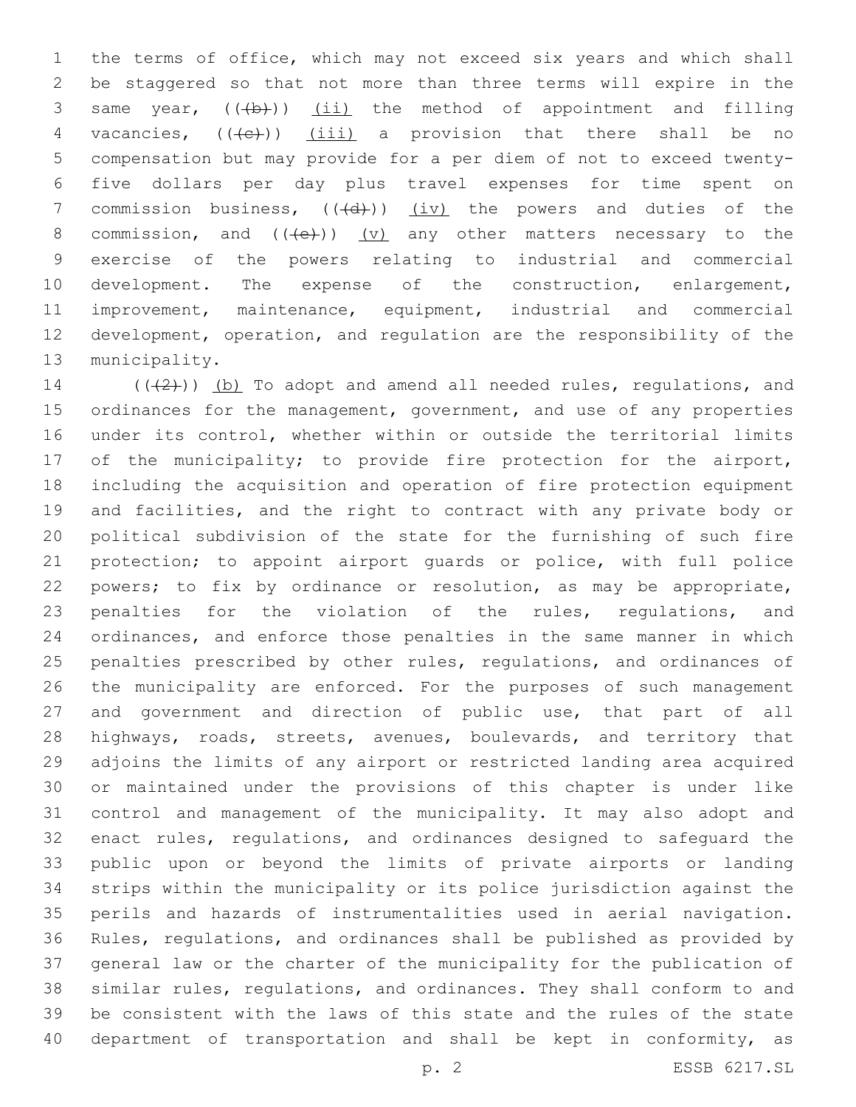the terms of office, which may not exceed six years and which shall be staggered so that not more than three terms will expire in the 3 same year,  $((+b))$   $(ii)$  the method of appointment and filling 4 vacancies,  $((+e))$   $(iii)$  a provision that there shall be no compensation but may provide for a per diem of not to exceed twenty- five dollars per day plus travel expenses for time spent on 7 commission business,  $((+d))$  (iv) the powers and duties of the 8 commission, and  $((+e))$   $(v)$  any other matters necessary to the exercise of the powers relating to industrial and commercial 10 development. The expense of the construction, enlargement, improvement, maintenance, equipment, industrial and commercial development, operation, and regulation are the responsibility of the 13 municipality.

 $((+2+))$  (b) To adopt and amend all needed rules, regulations, and 15 ordinances for the management, government, and use of any properties under its control, whether within or outside the territorial limits 17 of the municipality; to provide fire protection for the airport, including the acquisition and operation of fire protection equipment and facilities, and the right to contract with any private body or political subdivision of the state for the furnishing of such fire protection; to appoint airport guards or police, with full police powers; to fix by ordinance or resolution, as may be appropriate, penalties for the violation of the rules, regulations, and ordinances, and enforce those penalties in the same manner in which 25 penalties prescribed by other rules, regulations, and ordinances of the municipality are enforced. For the purposes of such management and government and direction of public use, that part of all 28 highways, roads, streets, avenues, boulevards, and territory that adjoins the limits of any airport or restricted landing area acquired or maintained under the provisions of this chapter is under like control and management of the municipality. It may also adopt and enact rules, regulations, and ordinances designed to safeguard the public upon or beyond the limits of private airports or landing strips within the municipality or its police jurisdiction against the perils and hazards of instrumentalities used in aerial navigation. Rules, regulations, and ordinances shall be published as provided by general law or the charter of the municipality for the publication of similar rules, regulations, and ordinances. They shall conform to and be consistent with the laws of this state and the rules of the state 40 department of transportation and shall be kept in conformity, as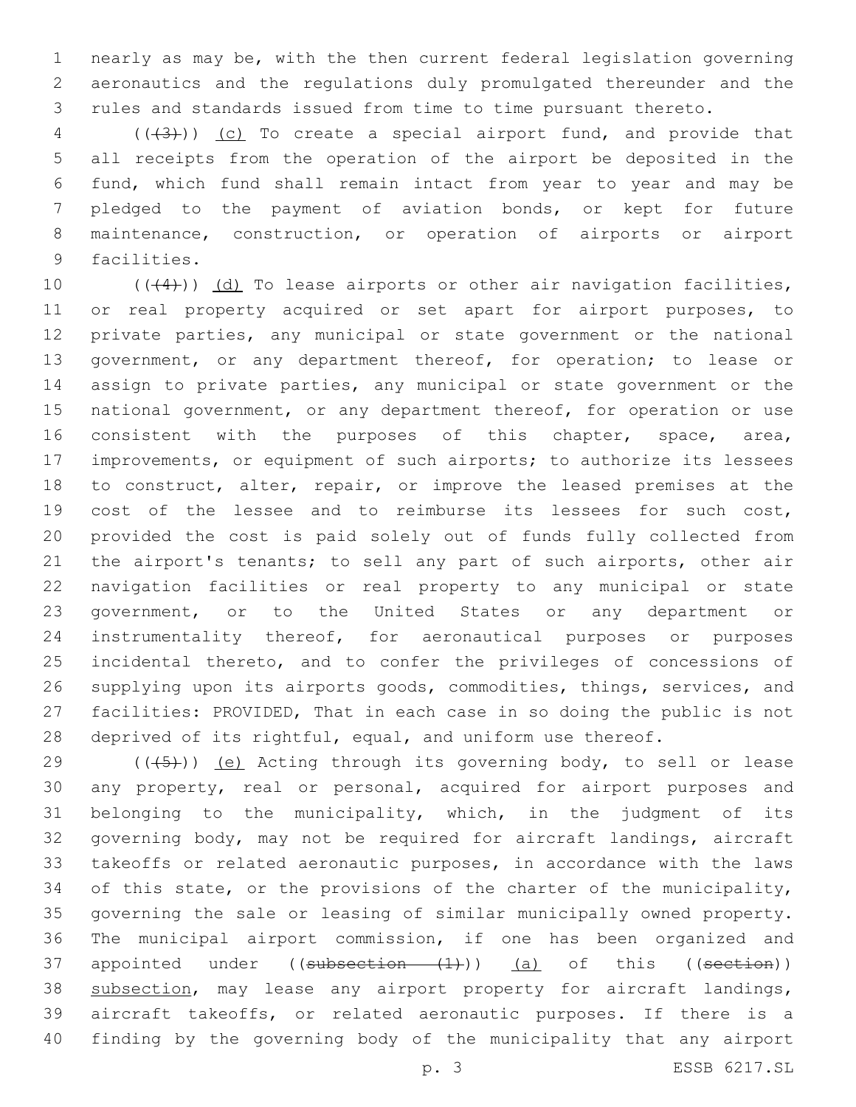nearly as may be, with the then current federal legislation governing aeronautics and the regulations duly promulgated thereunder and the rules and standards issued from time to time pursuant thereto.

 ( $(\overline{+3})$ ) (c) To create a special airport fund, and provide that all receipts from the operation of the airport be deposited in the fund, which fund shall remain intact from year to year and may be pledged to the payment of aviation bonds, or kept for future 8 maintenance, construction, or operation of airports or airport 9 facilities.

 $((+4))$   $(d)$  To lease airports or other air navigation facilities, or real property acquired or set apart for airport purposes, to private parties, any municipal or state government or the national 13 government, or any department thereof, for operation; to lease or assign to private parties, any municipal or state government or the 15 national government, or any department thereof, for operation or use 16 consistent with the purposes of this chapter, space, area, improvements, or equipment of such airports; to authorize its lessees 18 to construct, alter, repair, or improve the leased premises at the cost of the lessee and to reimburse its lessees for such cost, provided the cost is paid solely out of funds fully collected from 21 the airport's tenants; to sell any part of such airports, other air navigation facilities or real property to any municipal or state government, or to the United States or any department or instrumentality thereof, for aeronautical purposes or purposes incidental thereto, and to confer the privileges of concessions of supplying upon its airports goods, commodities, things, services, and facilities: PROVIDED, That in each case in so doing the public is not 28 deprived of its rightful, equal, and uniform use thereof.

 $((\overline{5})$  (e) Acting through its governing body, to sell or lease any property, real or personal, acquired for airport purposes and belonging to the municipality, which, in the judgment of its governing body, may not be required for aircraft landings, aircraft takeoffs or related aeronautic purposes, in accordance with the laws 34 of this state, or the provisions of the charter of the municipality, governing the sale or leasing of similar municipally owned property. The municipal airport commission, if one has been organized and 37 appointed under ((subsection (1))) (a) of this ((section)) 38 subsection, may lease any airport property for aircraft landings, aircraft takeoffs, or related aeronautic purposes. If there is a finding by the governing body of the municipality that any airport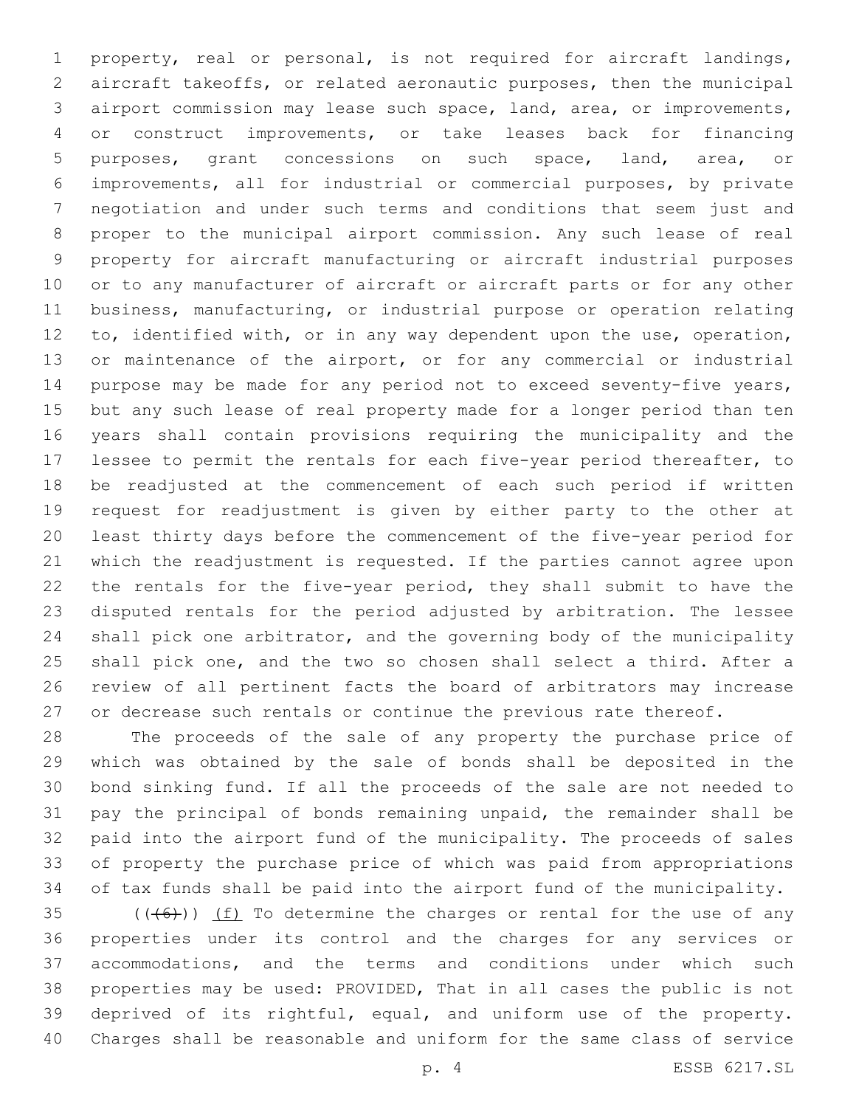property, real or personal, is not required for aircraft landings, aircraft takeoffs, or related aeronautic purposes, then the municipal airport commission may lease such space, land, area, or improvements, or construct improvements, or take leases back for financing purposes, grant concessions on such space, land, area, or improvements, all for industrial or commercial purposes, by private negotiation and under such terms and conditions that seem just and proper to the municipal airport commission. Any such lease of real property for aircraft manufacturing or aircraft industrial purposes or to any manufacturer of aircraft or aircraft parts or for any other business, manufacturing, or industrial purpose or operation relating to, identified with, or in any way dependent upon the use, operation, or maintenance of the airport, or for any commercial or industrial purpose may be made for any period not to exceed seventy-five years, but any such lease of real property made for a longer period than ten years shall contain provisions requiring the municipality and the lessee to permit the rentals for each five-year period thereafter, to be readjusted at the commencement of each such period if written request for readjustment is given by either party to the other at least thirty days before the commencement of the five-year period for which the readjustment is requested. If the parties cannot agree upon the rentals for the five-year period, they shall submit to have the disputed rentals for the period adjusted by arbitration. The lessee shall pick one arbitrator, and the governing body of the municipality shall pick one, and the two so chosen shall select a third. After a review of all pertinent facts the board of arbitrators may increase 27 or decrease such rentals or continue the previous rate thereof.

 The proceeds of the sale of any property the purchase price of which was obtained by the sale of bonds shall be deposited in the bond sinking fund. If all the proceeds of the sale are not needed to pay the principal of bonds remaining unpaid, the remainder shall be paid into the airport fund of the municipality. The proceeds of sales of property the purchase price of which was paid from appropriations of tax funds shall be paid into the airport fund of the municipality.

 $((+6)$ ) <u>(f)</u> To determine the charges or rental for the use of any properties under its control and the charges for any services or accommodations, and the terms and conditions under which such properties may be used: PROVIDED, That in all cases the public is not deprived of its rightful, equal, and uniform use of the property. Charges shall be reasonable and uniform for the same class of service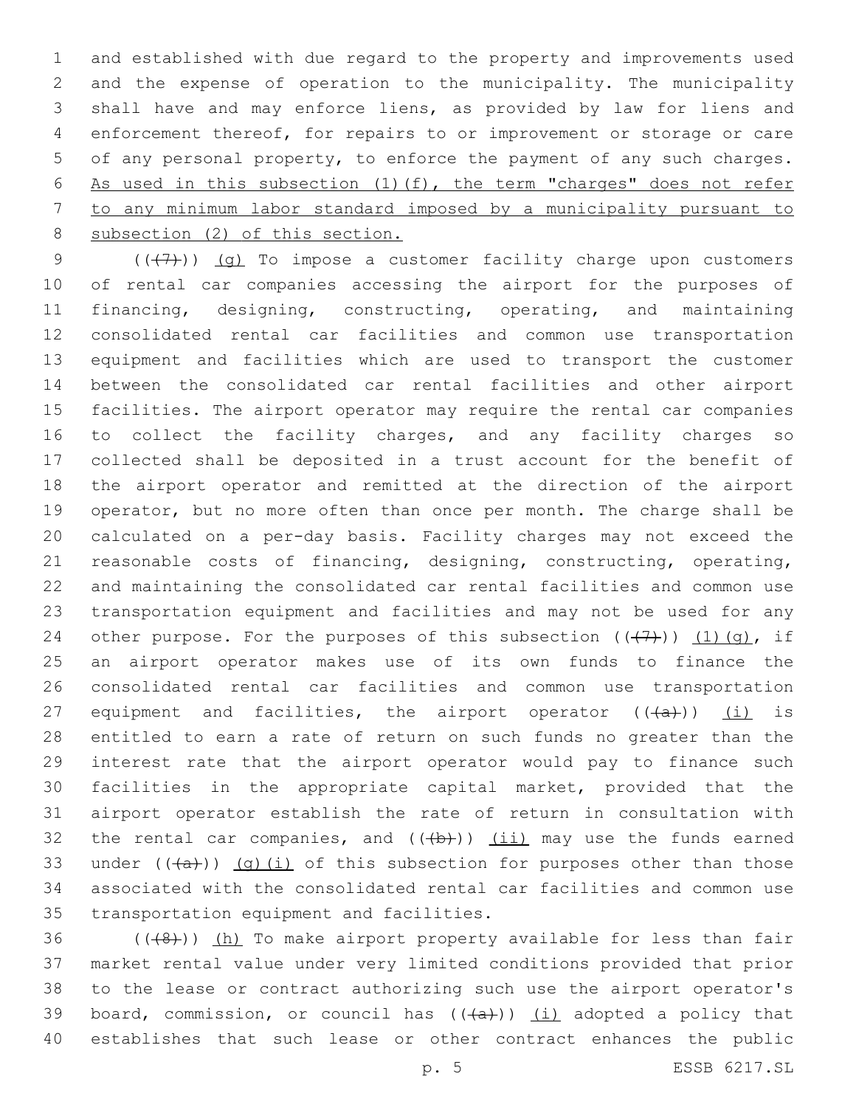and established with due regard to the property and improvements used and the expense of operation to the municipality. The municipality shall have and may enforce liens, as provided by law for liens and enforcement thereof, for repairs to or improvement or storage or care of any personal property, to enforce the payment of any such charges. As used in this subsection (1)(f), the term "charges" does not refer to any minimum labor standard imposed by a municipality pursuant to subsection (2) of this section.

 $((+7)$ ) (g) To impose a customer facility charge upon customers of rental car companies accessing the airport for the purposes of financing, designing, constructing, operating, and maintaining consolidated rental car facilities and common use transportation equipment and facilities which are used to transport the customer between the consolidated car rental facilities and other airport facilities. The airport operator may require the rental car companies 16 to collect the facility charges, and any facility charges so collected shall be deposited in a trust account for the benefit of the airport operator and remitted at the direction of the airport operator, but no more often than once per month. The charge shall be calculated on a per-day basis. Facility charges may not exceed the reasonable costs of financing, designing, constructing, operating, and maintaining the consolidated car rental facilities and common use transportation equipment and facilities and may not be used for any 24 other purpose. For the purposes of this subsection  $((+7+))$   $(1)(q)$ , if an airport operator makes use of its own funds to finance the consolidated rental car facilities and common use transportation 27 equipment and facilities, the airport operator  $((+a))$  (i) is entitled to earn a rate of return on such funds no greater than the interest rate that the airport operator would pay to finance such facilities in the appropriate capital market, provided that the airport operator establish the rate of return in consultation with 32 the rental car companies, and  $((+b))$   $(ii)$  may use the funds earned 33 under  $((+a))$   $(q)$   $(i)$  of this subsection for purposes other than those associated with the consolidated rental car facilities and common use 35 transportation equipment and facilities.

 $((+8+))$  (h) To make airport property available for less than fair market rental value under very limited conditions provided that prior to the lease or contract authorizing such use the airport operator's 39 board, commission, or council has  $((+a))$   $(i)$  adopted a policy that establishes that such lease or other contract enhances the public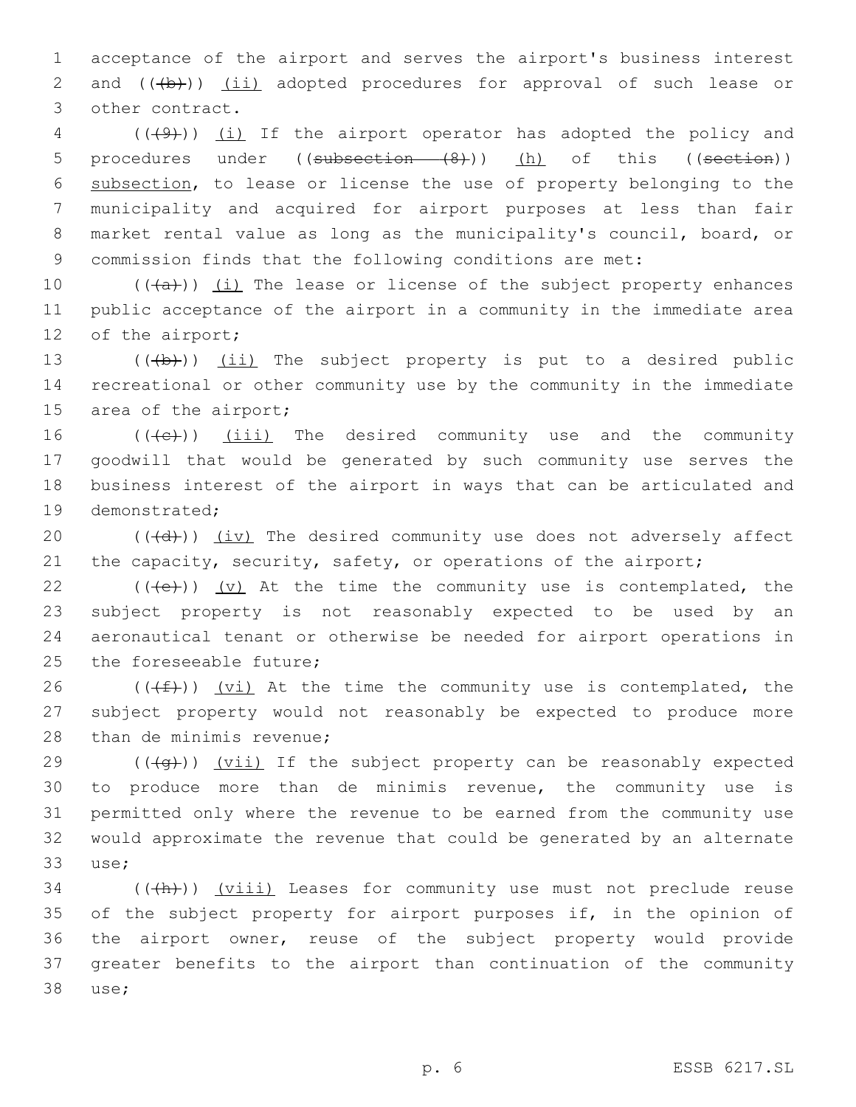1 acceptance of the airport and serves the airport's business interest 2 and (((b))) (ii) adopted procedures for approval of such lease or 3 other contract.

4 (( $(49)$ )) <u>(i)</u> If the airport operator has adopted the policy and 5 procedures under ((subsection (8))) (h) of this ((section)) subsection, to lease or license the use of property belonging to the municipality and acquired for airport purposes at less than fair market rental value as long as the municipality's council, board, or commission finds that the following conditions are met:

10  $((+a))$   $(i)$  The lease or license of the subject property enhances 11 public acceptance of the airport in a community in the immediate area 12 of the airport;

13  $((+b))$   $(ii)$  The subject property is put to a desired public 14 recreational or other community use by the community in the immediate 15 area of the airport;

16 (((e)) (iii) The desired community use and the community 17 goodwill that would be generated by such community use serves the 18 business interest of the airport in ways that can be articulated and 19 demonstrated;

20  $((\overline{d}))$   $(iv)$  The desired community use does not adversely affect 21 the capacity, security, safety, or operations of the airport;

 $((+e+))$   $(v)$  At the time the community use is contemplated, the subject property is not reasonably expected to be used by an aeronautical tenant or otherwise be needed for airport operations in 25 the foreseeable future;

26 ( $(\frac{f}{f})$ )  $\frac{f}{f}$  at the time the community use is contemplated, the 27 subject property would not reasonably be expected to produce more 28 than de minimis revenue;

 $((\overline{q}))$   $(vii)$  If the subject property can be reasonably expected to produce more than de minimis revenue, the community use is permitted only where the revenue to be earned from the community use would approximate the revenue that could be generated by an alternate 33 use;

 $34$  (( $\left(\frac{h}{h}\right)$ ) (viii) Leases for community use must not preclude reuse 35 of the subject property for airport purposes if, in the opinion of 36 the airport owner, reuse of the subject property would provide 37 greater benefits to the airport than continuation of the community 38 use;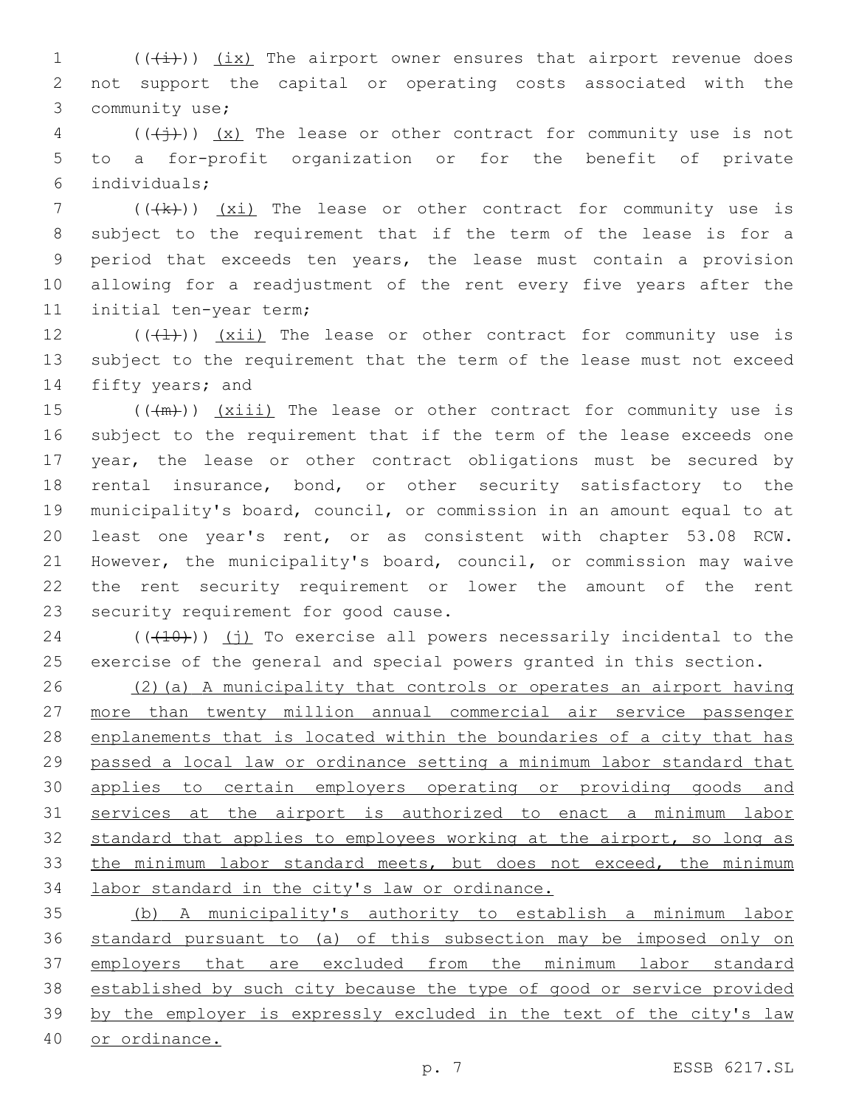1  $((\downarrow \downarrow))$   $(\underline{ix})$  The airport owner ensures that airport revenue does not support the capital or operating costs associated with the 3 community use;

 (( $(\overleftrightarrow{)}$ )) (x) The lease or other contract for community use is not to a for-profit organization or for the benefit of private individuals;6

 $((\{k\})$   $(xi)$  The lease or other contract for community use is subject to the requirement that if the term of the lease is for a period that exceeds ten years, the lease must contain a provision allowing for a readjustment of the rent every five years after the 11 initial ten-year term;

12  $((+1))$   $(xii)$  The lease or other contract for community use is subject to the requirement that the term of the lease must not exceed 14 fifty years; and

 $((+m))$   $(xiii)$  The lease or other contract for community use is subject to the requirement that if the term of the lease exceeds one year, the lease or other contract obligations must be secured by rental insurance, bond, or other security satisfactory to the municipality's board, council, or commission in an amount equal to at least one year's rent, or as consistent with chapter 53.08 RCW. However, the municipality's board, council, or commission may waive the rent security requirement or lower the amount of the rent 23 security requirement for good cause.

 $(10)(10)(110)$  (j) To exercise all powers necessarily incidental to the exercise of the general and special powers granted in this section.

 (2)(a) A municipality that controls or operates an airport having more than twenty million annual commercial air service passenger enplanements that is located within the boundaries of a city that has passed a local law or ordinance setting a minimum labor standard that applies to certain employers operating or providing goods and services at the airport is authorized to enact a minimum labor 32 standard that applies to employees working at the airport, so long as 33 the minimum labor standard meets, but does not exceed, the minimum labor standard in the city's law or ordinance.

 (b) A municipality's authority to establish a minimum labor standard pursuant to (a) of this subsection may be imposed only on employers that are excluded from the minimum labor standard established by such city because the type of good or service provided by the employer is expressly excluded in the text of the city's law or ordinance.